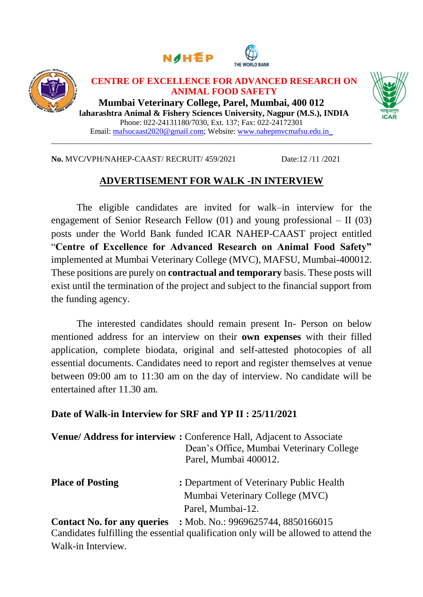





### **CENTRE OF EXCELLENCE FOR ADVANCED RESEARCH ON ANIMAL FOOD SAFETY**

**Mumbai Veterinary College, Parel, Mumbai, 400 012 Maharashtra Animal & Fishery Sciences University, Nagpur (M.S.), INDIA** Phone: 022-24131180/7030, Ext. 137; Fax: 022-24172301 Email: mafsucaast2020@gmail.com; Website: [www.nahepmvcmafsu.edu.in\\_](http://www.nahepmvcmafsu.edu.in_/)



#### **No.** MVC**/**VPH/NAHEP-CAAST/ RECRUIT/ 459/2021 Date:12 /11 /2021

# **ADVERTISEMENT FOR WALK -IN INTERVIEW**

\_\_\_\_\_\_\_\_\_\_\_\_\_\_\_\_\_\_\_\_\_\_\_\_\_\_\_\_\_\_\_\_\_\_\_\_\_\_\_\_\_\_\_\_\_\_\_\_\_\_\_\_\_\_\_\_\_\_\_\_\_\_\_\_\_\_\_\_\_\_\_\_\_\_\_\_\_\_\_\_\_\_

The eligible candidates are invited for walk–in interview for the engagement of Senior Research Fellow (01) and young professional – II (03) posts under the World Bank funded ICAR NAHEP-CAAST project entitled "**Centre of Excellence for Advanced Research on Animal Food Safety"**  implemented at Mumbai Veterinary College (MVC), MAFSU, Mumbai-400012. These positions are purely on **contractual and temporary** basis. These posts will exist until the termination of the project and subject to the financial support from the funding agency.

The interested candidates should remain present In- Person on below mentioned address for an interview on their **own expenses** with their filled application, complete biodata, original and self-attested photocopies of all essential documents. Candidates need to report and register themselves at venue between 09:00 am to 11:30 am on the day of interview. No candidate will be entertained after 11.30 am.

# **Date of Walk-in Interview for SRF and YP II : 25/11/2021**

|                         | Venue/Address for interview: Conference Hall, Adjacent to Associate<br>Dean's Office, Mumbai Veterinary College<br>Parel, Mumbai 400012. |
|-------------------------|------------------------------------------------------------------------------------------------------------------------------------------|
| <b>Place of Posting</b> | : Department of Veterinary Public Health                                                                                                 |
|                         | Mumbai Veterinary College (MVC)                                                                                                          |
|                         | Parel, Mumbai-12.                                                                                                                        |
|                         | <b>Contact No. for any queries</b> : Mob. No.: 9969625744, 8850166015                                                                    |
|                         | Candidates fulfilling the essential qualification only will be allowed to attend the                                                     |

g the essential qualification only will be allowed to attend the Walk-in Interview.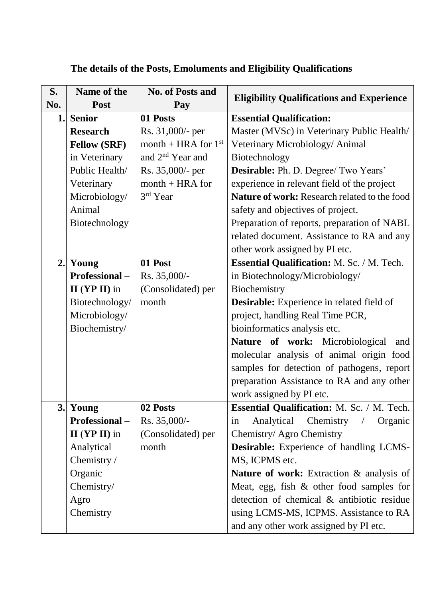| S.  | Name of the           | <b>No. of Posts and</b>      | <b>Eligibility Qualifications and Experience</b>       |  |  |  |  |
|-----|-----------------------|------------------------------|--------------------------------------------------------|--|--|--|--|
| No. | <b>Post</b>           | Pay                          |                                                        |  |  |  |  |
| 1.  | <b>Senior</b>         | 01 Posts                     | <b>Essential Qualification:</b>                        |  |  |  |  |
|     | <b>Research</b>       | Rs. 31,000/- per             | Master (MVSc) in Veterinary Public Health/             |  |  |  |  |
|     | <b>Fellow (SRF)</b>   | month + HRA for $1st$        | Veterinary Microbiology/ Animal                        |  |  |  |  |
|     | in Veterinary         | and 2 <sup>nd</sup> Year and | Biotechnology                                          |  |  |  |  |
|     | Public Health/        | Rs. 35,000/- per             | Desirable: Ph. D. Degree/ Two Years'                   |  |  |  |  |
|     | Veterinary            | $month + HRA$ for            | experience in relevant field of the project            |  |  |  |  |
|     | Microbiology/         | 3rd Year                     | Nature of work: Research related to the food           |  |  |  |  |
|     | Animal                |                              | safety and objectives of project.                      |  |  |  |  |
|     | Biotechnology         |                              | Preparation of reports, preparation of NABL            |  |  |  |  |
|     |                       |                              | related document. Assistance to RA and any             |  |  |  |  |
|     |                       |                              | other work assigned by PI etc.                         |  |  |  |  |
| 2.  | Young                 | 01 Post                      | <b>Essential Qualification: M. Sc. / M. Tech.</b>      |  |  |  |  |
|     | <b>Professional</b> – | Rs. 35,000/-                 | in Biotechnology/Microbiology/                         |  |  |  |  |
|     | $II$ (YP II) in       | (Consolidated) per           | Biochemistry                                           |  |  |  |  |
|     | Biotechnology/        | month                        | <b>Desirable:</b> Experience in related field of       |  |  |  |  |
|     | Microbiology/         |                              | project, handling Real Time PCR,                       |  |  |  |  |
|     | Biochemistry/         |                              | bioinformatics analysis etc.                           |  |  |  |  |
|     |                       |                              | Nature of work: Microbiological<br>and                 |  |  |  |  |
|     |                       |                              | molecular analysis of animal origin food               |  |  |  |  |
|     |                       |                              | samples for detection of pathogens, report             |  |  |  |  |
|     |                       |                              | preparation Assistance to RA and any other             |  |  |  |  |
|     |                       |                              | work assigned by PI etc.                               |  |  |  |  |
| 3.  | Young                 | 02 Posts                     | <b>Essential Qualification:</b> M. Sc. / M. Tech.      |  |  |  |  |
|     | <b>Professional</b> – | Rs. 35,000/-                 | Analytical<br>Chemistry<br>Organic<br>$\sqrt{2}$<br>in |  |  |  |  |
|     | $II$ (YP II) in       | (Consolidated) per           | Chemistry/ Agro Chemistry                              |  |  |  |  |
|     | Analytical            | month                        | <b>Desirable:</b> Experience of handling LCMS-         |  |  |  |  |
|     | Chemistry /           |                              | MS, ICPMS etc.                                         |  |  |  |  |
|     | Organic               |                              | Nature of work: Extraction & analysis of               |  |  |  |  |
|     | Chemistry/            |                              | Meat, egg, fish $\&$ other food samples for            |  |  |  |  |
|     | Agro                  |                              | detection of chemical & antibiotic residue             |  |  |  |  |
|     | Chemistry             |                              | using LCMS-MS, ICPMS. Assistance to RA                 |  |  |  |  |
|     |                       |                              | and any other work assigned by PI etc.                 |  |  |  |  |

# **The details of the Posts, Emoluments and Eligibility Qualifications**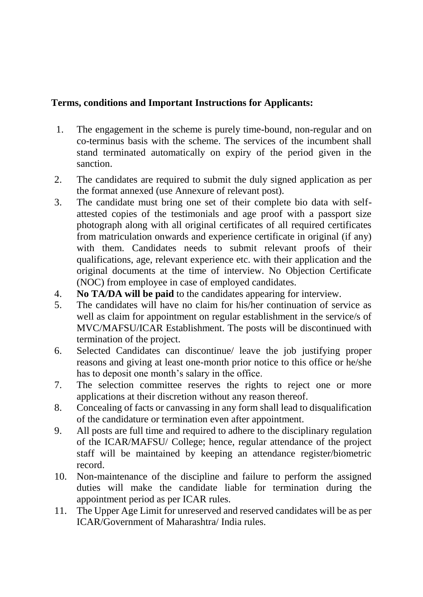# **Terms, conditions and Important Instructions for Applicants:**

- 1. The engagement in the scheme is purely time-bound, non-regular and on co-terminus basis with the scheme. The services of the incumbent shall stand terminated automatically on expiry of the period given in the sanction.
- 2. The candidates are required to submit the duly signed application as per the format annexed (use Annexure of relevant post).
- 3. The candidate must bring one set of their complete bio data with selfattested copies of the testimonials and age proof with a passport size photograph along with all original certificates of all required certificates from matriculation onwards and experience certificate in original (if any) with them. Candidates needs to submit relevant proofs of their qualifications, age, relevant experience etc. with their application and the original documents at the time of interview. No Objection Certificate (NOC) from employee in case of employed candidates.
- 4. **No TA/DA will be paid** to the candidates appearing for interview.
- 5. The candidates will have no claim for his/her continuation of service as well as claim for appointment on regular establishment in the service/s of MVC/MAFSU/ICAR Establishment. The posts will be discontinued with termination of the project.
- 6. Selected Candidates can discontinue/ leave the job justifying proper reasons and giving at least one-month prior notice to this office or he/she has to deposit one month's salary in the office.
- 7. The selection committee reserves the rights to reject one or more applications at their discretion without any reason thereof.
- 8. Concealing of facts or canvassing in any form shall lead to disqualification of the candidature or termination even after appointment.
- 9. All posts are full time and required to adhere to the disciplinary regulation of the ICAR/MAFSU/ College; hence, regular attendance of the project staff will be maintained by keeping an attendance register/biometric record.
- 10. Non-maintenance of the discipline and failure to perform the assigned duties will make the candidate liable for termination during the appointment period as per ICAR rules.
- 11. The Upper Age Limit for unreserved and reserved candidates will be as per ICAR/Government of Maharashtra/ India rules.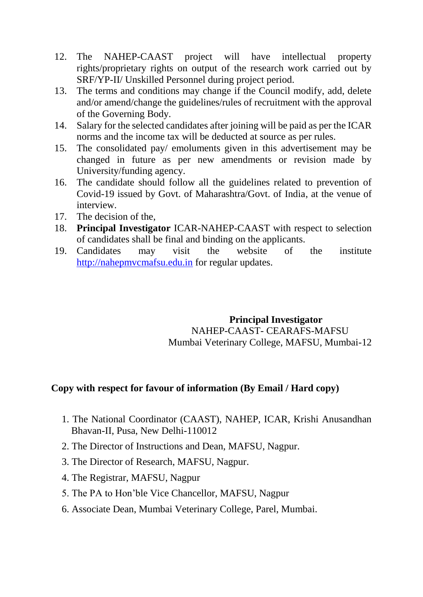- 12. The NAHEP-CAAST project will have intellectual property rights/proprietary rights on output of the research work carried out by SRF/YP-II/ Unskilled Personnel during project period.
- 13. The terms and conditions may change if the Council modify, add, delete and/or amend/change the guidelines/rules of recruitment with the approval of the Governing Body.
- 14. Salary for the selected candidates after joining will be paid as per the ICAR norms and the income tax will be deducted at source as per rules.
- 15. The consolidated pay/ emoluments given in this advertisement may be changed in future as per new amendments or revision made by University/funding agency.
- 16. The candidate should follow all the guidelines related to prevention of Covid-19 issued by Govt. of Maharashtra/Govt. of India, at the venue of interview.
- 17. The decision of the,
- 18. **Principal Investigator** ICAR-NAHEP-CAAST with respect to selection of candidates shall be final and binding on the applicants.
- 19. Candidates may visit the website of the institute [http://nahepmvcmafsu.edu.in](http://nahepmvcmafsu.edu.in/) for regular updates.

### **Principal Investigator** NAHEP-CAAST- CEARAFS-MAFSU Mumbai Veterinary College, MAFSU, Mumbai-12

# **Copy with respect for favour of information (By Email / Hard copy)**

- 1. The National Coordinator (CAAST), NAHEP, ICAR, Krishi Anusandhan Bhavan-II, Pusa, New Delhi-110012
- 2. The Director of Instructions and Dean, MAFSU, Nagpur.
- 3. The Director of Research, MAFSU, Nagpur.
- 4. The Registrar, MAFSU, Nagpur
- 5. The PA to Hon'ble Vice Chancellor, MAFSU, Nagpur
- 6. Associate Dean, Mumbai Veterinary College, Parel, Mumbai.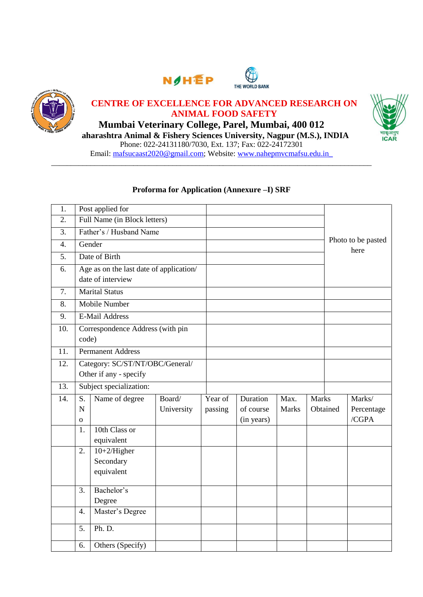





# **CENTRE OF EXCELLENCE FOR ADVANCED RESEARCH ON ANIMAL FOOD SAFETY**

**Mumbai Veterinary College, Parel, Mumbai, 400 012 Maharashtra Animal & Fishery Sciences University, Nagpur (M.S.), INDIA** Phone: 022-24131180/7030, Ext. 137; Fax: 022-24172301 Email: mafsucaast2020@gmail.com; Website: [www.nahepmvcmafsu.edu.in\\_](http://www.nahepmvcmafsu.edu.in_/)



### **Proforma for Application (Annexure –I) SRF**

\_\_\_\_\_\_\_\_\_\_\_\_\_\_\_\_\_\_\_\_\_\_\_\_\_\_\_\_\_\_\_\_\_\_\_\_\_\_\_\_\_\_\_\_\_\_\_\_\_\_\_\_\_\_\_\_\_\_\_\_\_\_\_\_\_\_\_\_\_\_\_\_\_\_\_\_\_\_\_\_\_\_

| 1.               |                                                           | Post applied for                                             |            |         |            |              |              |                            |            |  |
|------------------|-----------------------------------------------------------|--------------------------------------------------------------|------------|---------|------------|--------------|--------------|----------------------------|------------|--|
| 2.               | Full Name (in Block letters)                              |                                                              |            |         |            |              |              |                            |            |  |
| 3.               | Father's / Husband Name                                   |                                                              |            |         |            |              |              |                            |            |  |
| $\overline{4}$ . |                                                           | Gender                                                       |            |         |            |              |              | Photo to be pasted<br>here |            |  |
| 5.               |                                                           | Date of Birth                                                |            |         |            |              |              |                            |            |  |
| 6.               |                                                           | Age as on the last date of application/<br>date of interview |            |         |            |              |              |                            |            |  |
| 7.               |                                                           | <b>Marital Status</b>                                        |            |         |            |              |              |                            |            |  |
| 8.               |                                                           | <b>Mobile Number</b>                                         |            |         |            |              |              |                            |            |  |
| 9.               |                                                           | <b>E-Mail Address</b>                                        |            |         |            |              |              |                            |            |  |
| 10.              | code)                                                     | Correspondence Address (with pin                             |            |         |            |              |              |                            |            |  |
| 11.              |                                                           | <b>Permanent Address</b>                                     |            |         |            |              |              |                            |            |  |
| 12.              | Category: SC/ST/NT/OBC/General/<br>Other if any - specify |                                                              |            |         |            |              |              |                            |            |  |
| 13.              | Subject specialization:                                   |                                                              |            |         |            |              |              |                            |            |  |
| 14.              | S.                                                        | Name of degree                                               | Board/     | Year of | Duration   | Max.         | <b>Marks</b> |                            | Marks/     |  |
|                  | $\mathbf N$                                               |                                                              | University | passing | of course  | <b>Marks</b> |              | Obtained                   | Percentage |  |
|                  | $\mathbf{O}$                                              |                                                              |            |         | (in years) |              |              |                            | /CGPA      |  |
|                  | 1.                                                        | 10th Class or<br>equivalent                                  |            |         |            |              |              |                            |            |  |
|                  | 2.                                                        | $10+2/Higher$<br>Secondary<br>equivalent                     |            |         |            |              |              |                            |            |  |
|                  | 3.                                                        | Bachelor's                                                   |            |         |            |              |              |                            |            |  |
|                  |                                                           | Degree                                                       |            |         |            |              |              |                            |            |  |
|                  | $\overline{4}$ .                                          | Master's Degree                                              |            |         |            |              |              |                            |            |  |
|                  | 5.                                                        | Ph. D.                                                       |            |         |            |              |              |                            |            |  |
|                  | 6.                                                        | Others (Specify)                                             |            |         |            |              |              |                            |            |  |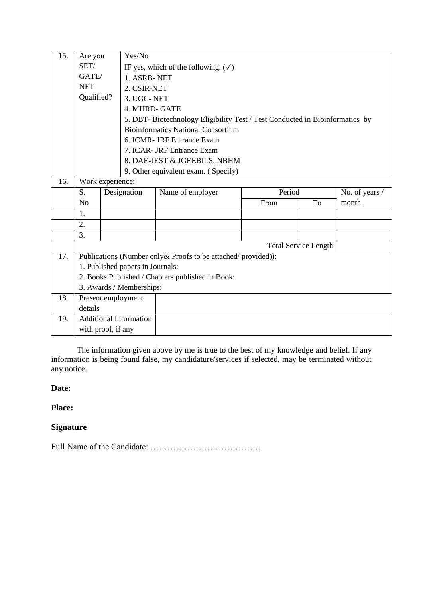| 15. | Are you          |                                  | Yes/No                                           |                                                                              |        |                             |                |  |  |  |  |
|-----|------------------|----------------------------------|--------------------------------------------------|------------------------------------------------------------------------------|--------|-----------------------------|----------------|--|--|--|--|
|     | SET/             |                                  | IF yes, which of the following. $(\sqrt)$        |                                                                              |        |                             |                |  |  |  |  |
|     | GATE/            |                                  | 1. ASRB-NET                                      |                                                                              |        |                             |                |  |  |  |  |
|     | <b>NET</b>       |                                  |                                                  | 2. CSIR-NET                                                                  |        |                             |                |  |  |  |  |
|     | Qualified?       |                                  | 3. UGC-NET                                       |                                                                              |        |                             |                |  |  |  |  |
|     |                  |                                  | 4. MHRD- GATE                                    |                                                                              |        |                             |                |  |  |  |  |
|     |                  |                                  |                                                  | 5. DBT- Biotechnology Eligibility Test / Test Conducted in Bioinformatics by |        |                             |                |  |  |  |  |
|     |                  |                                  |                                                  | <b>Bioinformatics National Consortium</b>                                    |        |                             |                |  |  |  |  |
|     |                  |                                  |                                                  | 6. ICMR- JRF Entrance Exam                                                   |        |                             |                |  |  |  |  |
|     |                  |                                  |                                                  | 7. ICAR- JRF Entrance Exam                                                   |        |                             |                |  |  |  |  |
|     |                  |                                  |                                                  | 8. DAE-JEST & JGEEBILS, NBHM                                                 |        |                             |                |  |  |  |  |
|     |                  |                                  |                                                  | 9. Other equivalent exam. (Specify)                                          |        |                             |                |  |  |  |  |
| 16. | Work experience: |                                  |                                                  |                                                                              |        |                             |                |  |  |  |  |
|     | S.               |                                  | Designation                                      | Name of employer                                                             | Period |                             | No. of years / |  |  |  |  |
|     | No               |                                  |                                                  |                                                                              | From   | To                          | month          |  |  |  |  |
|     | 1.               |                                  |                                                  |                                                                              |        |                             |                |  |  |  |  |
|     | 2.               |                                  |                                                  |                                                                              |        |                             |                |  |  |  |  |
|     | 3.               |                                  |                                                  |                                                                              |        |                             |                |  |  |  |  |
|     |                  |                                  |                                                  |                                                                              |        | <b>Total Service Length</b> |                |  |  |  |  |
| 17. |                  |                                  |                                                  | Publications (Number only & Proofs to be attached/provided)):                |        |                             |                |  |  |  |  |
|     |                  | 1. Published papers in Journals: |                                                  |                                                                              |        |                             |                |  |  |  |  |
|     |                  |                                  | 2. Books Published / Chapters published in Book: |                                                                              |        |                             |                |  |  |  |  |
|     |                  |                                  | 3. Awards / Memberships:                         |                                                                              |        |                             |                |  |  |  |  |
| 18. |                  |                                  | Present employment                               |                                                                              |        |                             |                |  |  |  |  |
|     | details          |                                  |                                                  |                                                                              |        |                             |                |  |  |  |  |
| 19. |                  |                                  | <b>Additional Information</b>                    |                                                                              |        |                             |                |  |  |  |  |
|     |                  | with proof, if any               |                                                  |                                                                              |        |                             |                |  |  |  |  |

The information given above by me is true to the best of my knowledge and belief. If any information is being found false, my candidature/services if selected, may be terminated without any notice.

#### **Date:**

#### **Place:**

### **Signature**

Full Name of the Candidate: …………………………………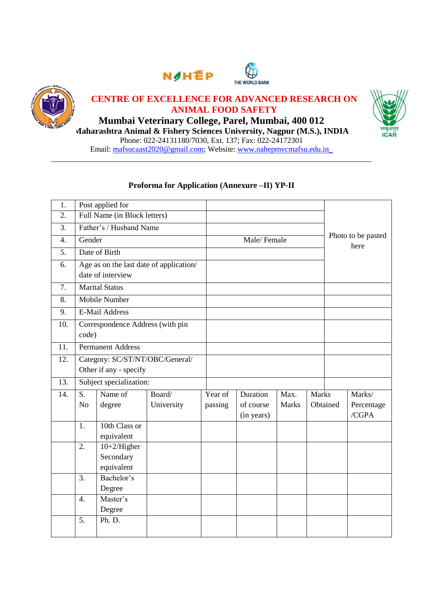





### **CENTRE OF EXCELLENCE FOR ADVANCED RESEARCH ON ANIMAL FOOD SAFETY**

**Mumbai Veterinary College, Parel, Mumbai, 400 012 Maharashtra Animal & Fishery Sciences University, Nagpur (M.S.), INDIA** Phone: 022-24131180/7030, Ext. 137; Fax: 022-24172301 Email: mafsucaast2020@gmail.com; Website: [www.nahepmvcmafsu.edu.in\\_](http://www.nahepmvcmafsu.edu.in_/)



### **Proforma for Application (Annexure –II) YP-II**

\_\_\_\_\_\_\_\_\_\_\_\_\_\_\_\_\_\_\_\_\_\_\_\_\_\_\_\_\_\_\_\_\_\_\_\_\_\_\_\_\_\_\_\_\_\_\_\_\_\_\_\_\_\_\_\_\_\_\_\_\_\_\_\_\_\_\_\_\_\_\_\_\_\_\_\_\_\_\_\_\_\_

| 1.  |                                                              | Post applied for                          |            |         |                         |              |              |                            |                     |
|-----|--------------------------------------------------------------|-------------------------------------------|------------|---------|-------------------------|--------------|--------------|----------------------------|---------------------|
| 2.  |                                                              | Full Name (in Block letters)              |            |         |                         |              |              |                            |                     |
| 3.  | Father's / Husband Name                                      |                                           |            |         |                         |              |              |                            |                     |
| 4.  | Gender                                                       |                                           |            |         | Male/Female             |              |              | Photo to be pasted<br>here |                     |
| 5.  |                                                              | Date of Birth                             |            |         |                         |              |              |                            |                     |
| 6.  | Age as on the last date of application/<br>date of interview |                                           |            |         |                         |              |              |                            |                     |
| 7.  |                                                              | <b>Marital Status</b>                     |            |         |                         |              |              |                            |                     |
| 8.  |                                                              | Mobile Number                             |            |         |                         |              |              |                            |                     |
| 9.  |                                                              | <b>E-Mail Address</b>                     |            |         |                         |              |              |                            |                     |
| 10. |                                                              | Correspondence Address (with pin          |            |         |                         |              |              |                            |                     |
|     | code)                                                        |                                           |            |         |                         |              |              |                            |                     |
| 11. |                                                              | <b>Permanent Address</b>                  |            |         |                         |              |              |                            |                     |
| 12. | Category: SC/ST/NT/OBC/General/                              |                                           |            |         |                         |              |              |                            |                     |
|     | Other if any - specify                                       |                                           |            |         |                         |              |              |                            |                     |
| 13. | Subject specialization:                                      |                                           |            |         |                         |              |              |                            |                     |
| 14. | S.                                                           | Name of                                   | Board/     | Year of | Duration                | Max.         | <b>Marks</b> |                            | Marks/              |
|     | N <sub>o</sub>                                               | degree                                    | University | passing | of course<br>(in years) | <b>Marks</b> |              | Obtained                   | Percentage<br>/CGPA |
|     | 1.                                                           | 10th Class or<br>equivalent               |            |         |                         |              |              |                            |                     |
|     | 2.                                                           | $10+2/H$ igher<br>Secondary<br>equivalent |            |         |                         |              |              |                            |                     |
|     | $\overline{3}$ .                                             | Bachelor's                                |            |         |                         |              |              |                            |                     |
|     |                                                              | Degree                                    |            |         |                         |              |              |                            |                     |
|     | $\overline{4}$ .                                             | Master's                                  |            |         |                         |              |              |                            |                     |
|     |                                                              | Degree                                    |            |         |                         |              |              |                            |                     |
|     | 5.                                                           | Ph. D.                                    |            |         |                         |              |              |                            |                     |
|     |                                                              |                                           |            |         |                         |              |              |                            |                     |